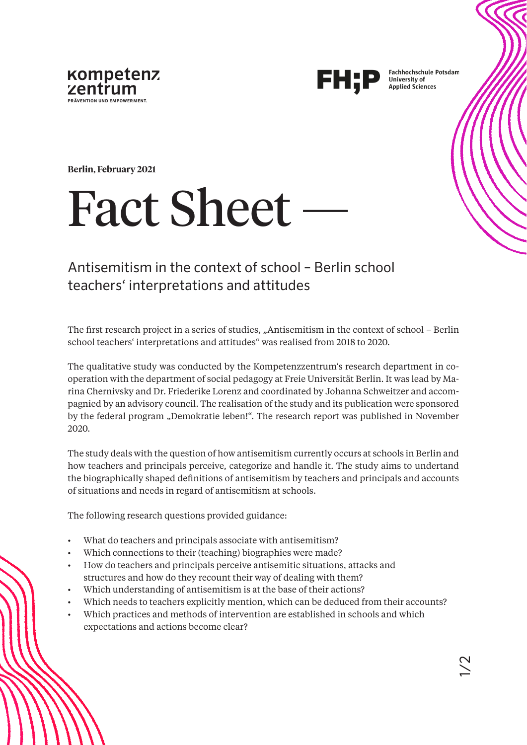



**Fachhochschule Potsdam University of Applied Sciences** 

**Berlin, February 2021**

# **Fact Sheet**

## Antisemitism in the context of school – Berlin school teachers' interpretations and attitudes

The first research project in a series of studies, "Antisemitism in the context of school – Berlin school teachers' interpretations and attitudes" was realised from 2018 to 2020.

The qualitative study was conducted by the Kompetenzzentrum's research department in cooperation with the department of social pedagogy at Freie Universität Berlin. It was lead by Marina Chernivsky and Dr. Friederike Lorenz and coordinated by Johanna Schweitzer and accompagnied by an advisory council. The realisation of the study and its publication were sponsored by the federal program "Demokratie leben!". The research report was published in November 2020.

The study deals with the question of how antisemitism currently occurs at schools in Berlin and how teachers and principals perceive, categorize and handle it. The study aims to undertand the biographically shaped definitions of antisemitism by teachers and principals and accounts of situations and needs in regard of antisemitism at schools.

The following research questions provided guidance:

- What do teachers and principals associate with antisemitism?
- Which connections to their (teaching) biographies were made?
- How do teachers and principals perceive antisemitic situations, attacks and structures and how do they recount their way of dealing with them?
- Which understanding of antisemitism is at the base of their actions?
- Which needs to teachers explicitly mention, which can be deduced from their accounts?
- Which practices and methods of intervention are established in schools and which expectations and actions become clear?